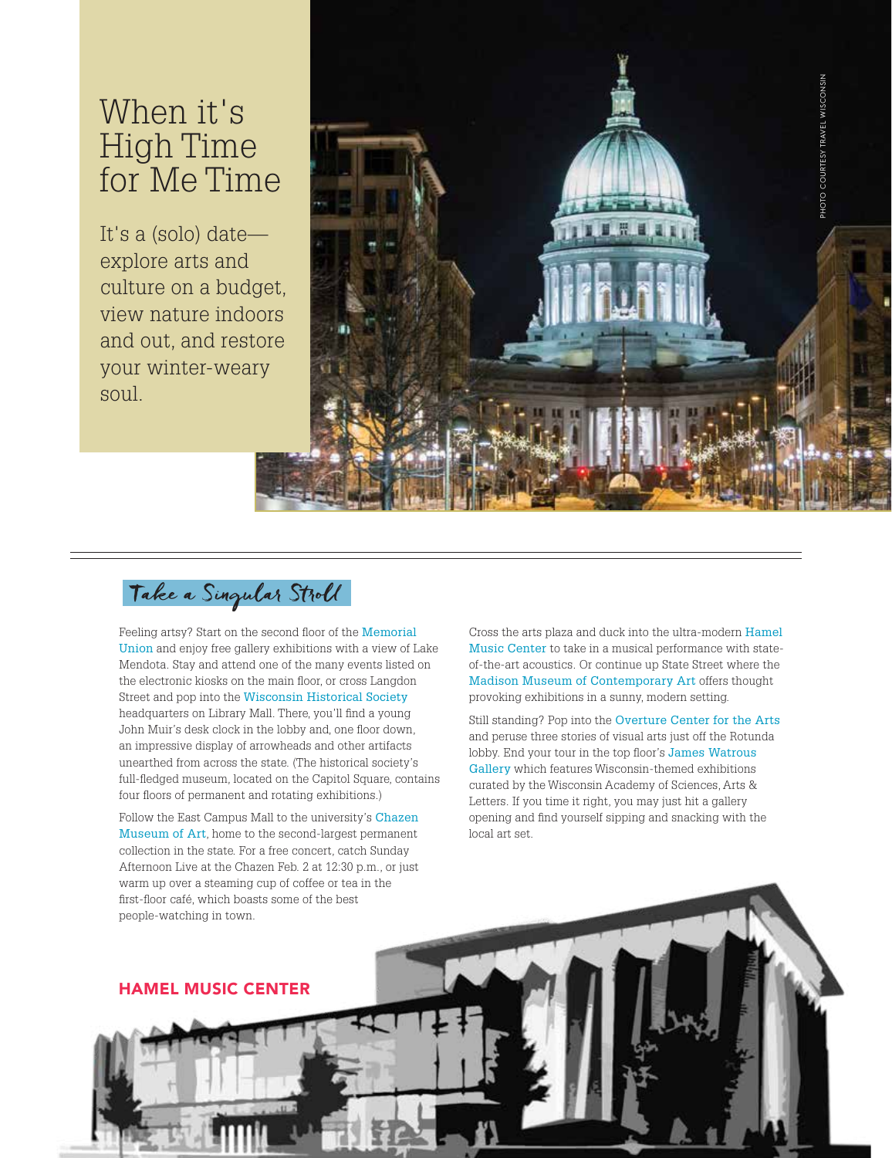# When it's High Time for Me Time

It's a (solo) date explore arts and culture on a budget, view nature indoors and out, and restore your winter-weary soul.



Take a Singular Stroll

Feeling artsy? Start on the second floor of the Memorial Union and enjoy free gallery exhibitions with a view of Lake Mendota. Stay and attend one of the many events listed on the electronic kiosks on the main floor, or cross Langdon Street and pop into the Wisconsin Historical Society headquarters on Library Mall. There, you'll find a young John Muir's desk clock in the lobby and, one floor down, an impressive display of arrowheads and other artifacts unearthed from across the state. (The historical society's full-fledged museum, located on the Capitol Square, contains four floors of permanent and rotating exhibitions.)

Follow the East Campus Mall to the university's Chazen Museum of Art, home to the second-largest permanent collection in the state. For a free concert, catch Sunday Afternoon Live at the Chazen Feb. 2 at 12:30 p.m., or just warm up over a steaming cup of coffee or tea in the first-floor café, which boasts some of the best people-watching in town.

Cross the arts plaza and duck into the ultra-modern Hamel Music Center to take in a musical performance with stateof-the-art acoustics. Or continue up State Street where the Madison Museum of Contemporary Art offers thought provoking exhibitions in a sunny, modern setting.

Still standing? Pop into the Overture Center for the Arts and peruse three stories of visual arts just off the Rotunda lobby. End your tour in the top floor's James Watrous Gallery which features Wisconsin-themed exhibitions curated by the Wisconsin Academy of Sciences, Arts & Letters. If you time it right, you may just hit a gallery opening and find yourself sipping and snacking with the local art set.

HAMEL MUSIC CENTER